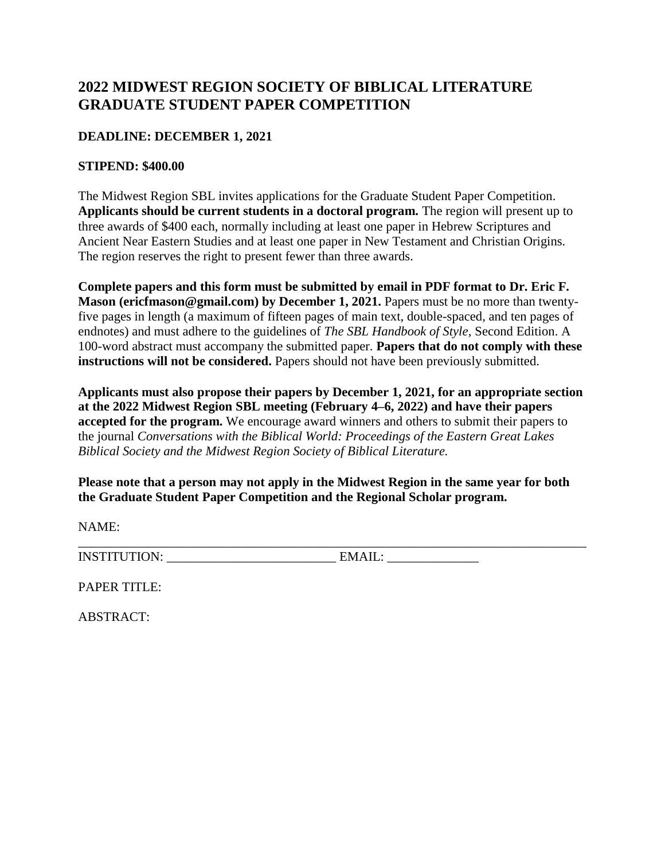## **2022 MIDWEST REGION SOCIETY OF BIBLICAL LITERATURE GRADUATE STUDENT PAPER COMPETITION**

## **DEADLINE: DECEMBER 1, 2021**

## **STIPEND: \$400.00**

The Midwest Region SBL invites applications for the Graduate Student Paper Competition. **Applicants should be current students in a doctoral program.** The region will present up to three awards of \$400 each, normally including at least one paper in Hebrew Scriptures and Ancient Near Eastern Studies and at least one paper in New Testament and Christian Origins. The region reserves the right to present fewer than three awards.

**Complete papers and this form must be submitted by email in PDF format to Dr. Eric F. Mason (ericfmason@gmail.com) by December 1, 2021.** Papers must be no more than twentyfive pages in length (a maximum of fifteen pages of main text, double-spaced, and ten pages of endnotes) and must adhere to the guidelines of *The SBL Handbook of Style,* Second Edition. A 100-word abstract must accompany the submitted paper. **Papers that do not comply with these instructions will not be considered.** Papers should not have been previously submitted.

**Applicants must also propose their papers by December 1, 2021, for an appropriate section at the 2022 Midwest Region SBL meeting (February 4–6, 2022) and have their papers accepted for the program.** We encourage award winners and others to submit their papers to the journal *Conversations with the Biblical World: Proceedings of the Eastern Great Lakes Biblical Society and the Midwest Region Society of Biblical Literature.* 

**Please note that a person may not apply in the Midwest Region in the same year for both the Graduate Student Paper Competition and the Regional Scholar program.** 

\_\_\_\_\_\_\_\_\_\_\_\_\_\_\_\_\_\_\_\_\_\_\_\_\_\_\_\_\_\_\_\_\_\_\_\_\_\_\_\_\_\_\_\_\_\_\_\_\_\_\_\_\_\_\_\_\_\_\_\_\_\_\_\_\_\_\_\_\_\_\_\_\_\_\_\_\_\_

NAME:

INSTITUTION: \_\_\_\_\_\_\_\_\_\_\_\_\_\_\_\_\_\_\_\_\_\_\_\_\_\_ EMAIL: \_\_\_\_\_\_\_\_\_\_\_\_\_\_

PAPER TITLE:

ABSTRACT: